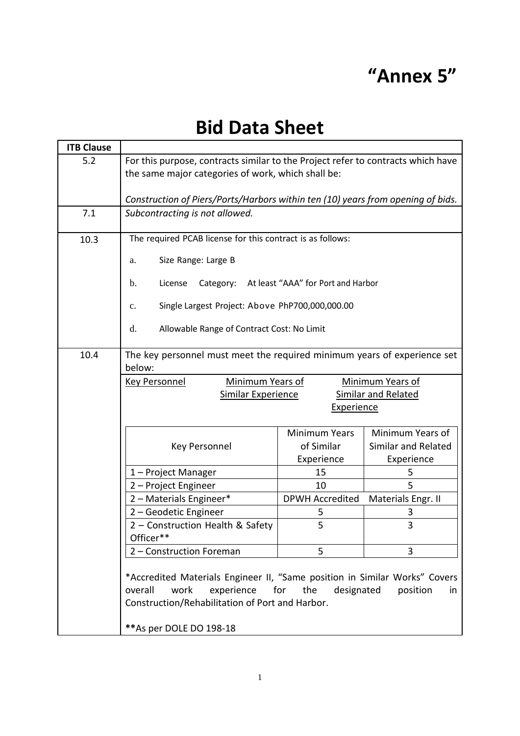## **"Annex 5"**

## **Bid Data Sheet**

| <b>ITB Clause</b> |                                                                                                                                                           |                                    |                                         |  |  |  |
|-------------------|-----------------------------------------------------------------------------------------------------------------------------------------------------------|------------------------------------|-----------------------------------------|--|--|--|
| 5.2               | For this purpose, contracts similar to the Project refer to contracts which have                                                                          |                                    |                                         |  |  |  |
|                   | the same major categories of work, which shall be:                                                                                                        |                                    |                                         |  |  |  |
|                   |                                                                                                                                                           |                                    |                                         |  |  |  |
|                   | Construction of Piers/Ports/Harbors within ten (10) years from opening of bids.                                                                           |                                    |                                         |  |  |  |
| 7.1               | Subcontracting is not allowed.                                                                                                                            |                                    |                                         |  |  |  |
| 10.3              | The required PCAB license for this contract is as follows:                                                                                                |                                    |                                         |  |  |  |
|                   | Size Range: Large B<br>a.                                                                                                                                 |                                    |                                         |  |  |  |
|                   | Category: At least "AAA" for Port and Harbor<br>License<br>$\mathbf{b}$ .                                                                                 |                                    |                                         |  |  |  |
|                   | Single Largest Project: Above PhP700,000,000.00<br>c.                                                                                                     |                                    |                                         |  |  |  |
|                   | d.<br>Allowable Range of Contract Cost: No Limit                                                                                                          |                                    |                                         |  |  |  |
|                   |                                                                                                                                                           |                                    |                                         |  |  |  |
| 10.4              | The key personnel must meet the required minimum years of experience set<br>below:                                                                        |                                    |                                         |  |  |  |
|                   | Minimum Years of<br><b>Minimum Years of</b><br><b>Key Personnel</b>                                                                                       |                                    |                                         |  |  |  |
|                   | <b>Similar Experience</b><br><b>Similar and Related</b>                                                                                                   |                                    |                                         |  |  |  |
|                   | Experience                                                                                                                                                |                                    |                                         |  |  |  |
|                   |                                                                                                                                                           |                                    |                                         |  |  |  |
|                   |                                                                                                                                                           | <b>Minimum Years</b><br>of Similar | Minimum Years of<br>Similar and Related |  |  |  |
|                   | <b>Key Personnel</b>                                                                                                                                      | Experience                         | Experience                              |  |  |  |
|                   | 1-Project Manager                                                                                                                                         | 15                                 | 5                                       |  |  |  |
|                   | 2 - Project Engineer                                                                                                                                      | 10                                 | 5                                       |  |  |  |
|                   | 2 - Materials Engineer*                                                                                                                                   | <b>DPWH Accredited</b>             | Materials Engr. II                      |  |  |  |
|                   | 2 - Geodetic Engineer                                                                                                                                     | 5                                  | 3                                       |  |  |  |
|                   | 2 - Construction Health & Safety                                                                                                                          | 5                                  | 3                                       |  |  |  |
|                   | Officer**                                                                                                                                                 |                                    |                                         |  |  |  |
|                   | 2 - Construction Foreman                                                                                                                                  | 5                                  | 3                                       |  |  |  |
|                   | *Accredited Materials Engineer II, "Same position in Similar Works" Covers<br>work<br>experience<br>for<br>the<br>designated<br>overall<br>position<br>in |                                    |                                         |  |  |  |
|                   | Construction/Rehabilitation of Port and Harbor.                                                                                                           |                                    |                                         |  |  |  |
|                   | ** As per DOLE DO 198-18                                                                                                                                  |                                    |                                         |  |  |  |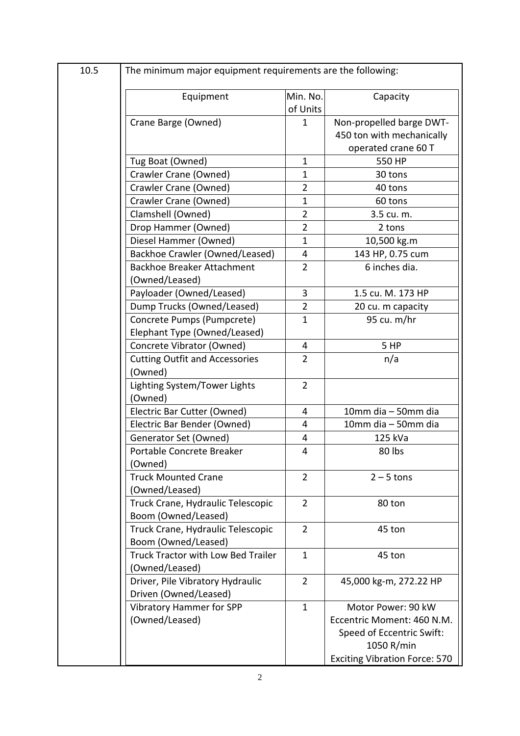| 10.5 | The minimum major equipment requirements are the following: |                      |                                                                              |  |
|------|-------------------------------------------------------------|----------------------|------------------------------------------------------------------------------|--|
|      | Equipment                                                   | Min. No.<br>of Units | Capacity                                                                     |  |
|      | Crane Barge (Owned)                                         | 1                    | Non-propelled barge DWT-<br>450 ton with mechanically<br>operated crane 60 T |  |
|      | Tug Boat (Owned)                                            | $\mathbf{1}$         | 550 HP                                                                       |  |
|      | Crawler Crane (Owned)                                       | 1                    | 30 tons                                                                      |  |
|      | Crawler Crane (Owned)                                       | $\overline{2}$       | 40 tons                                                                      |  |
|      | Crawler Crane (Owned)                                       | $\mathbf{1}$         | 60 tons                                                                      |  |
|      | Clamshell (Owned)                                           | $\overline{2}$       | 3.5 cu. m.                                                                   |  |
|      | Drop Hammer (Owned)                                         | $\overline{2}$       | 2 tons                                                                       |  |
|      | Diesel Hammer (Owned)                                       | $\mathbf{1}$         | 10,500 kg.m                                                                  |  |
|      | Backhoe Crawler (Owned/Leased)                              | 4                    | 143 HP, 0.75 cum                                                             |  |
|      | <b>Backhoe Breaker Attachment</b><br>(Owned/Leased)         | $\overline{2}$       | 6 inches dia.                                                                |  |
|      | Payloader (Owned/Leased)                                    | 3                    | 1.5 cu. M. 173 HP                                                            |  |
|      | Dump Trucks (Owned/Leased)                                  | $\overline{2}$       | 20 cu. m capacity                                                            |  |
|      | Concrete Pumps (Pumpcrete)                                  | $\mathbf{1}$         | 95 cu. m/hr                                                                  |  |
|      | Elephant Type (Owned/Leased)                                |                      |                                                                              |  |
|      | Concrete Vibrator (Owned)                                   | $\overline{4}$       | 5 HP                                                                         |  |
|      | <b>Cutting Outfit and Accessories</b><br>(Owned)            | $\overline{2}$       | n/a                                                                          |  |
|      | Lighting System/Tower Lights<br>(Owned)                     | $\overline{2}$       |                                                                              |  |
|      | Electric Bar Cutter (Owned)                                 | 4                    | 10mm dia - 50mm dia                                                          |  |
|      | Electric Bar Bender (Owned)                                 | 4                    | 10mm dia - 50mm dia                                                          |  |
|      | Generator Set (Owned)                                       | 4                    | 125 kVa                                                                      |  |
|      | Portable Concrete Breaker<br>(Owned)                        | 4                    | 80 lbs                                                                       |  |
|      | <b>Truck Mounted Crane</b><br>(Owned/Leased)                | $\overline{2}$       | $2 - 5$ tons                                                                 |  |
|      | Truck Crane, Hydraulic Telescopic<br>Boom (Owned/Leased)    | $\overline{2}$       | 80 ton                                                                       |  |
|      | Truck Crane, Hydraulic Telescopic<br>Boom (Owned/Leased)    | $\overline{2}$       | 45 ton                                                                       |  |
|      | Truck Tractor with Low Bed Trailer<br>(Owned/Leased)        | $\mathbf{1}$         | 45 ton                                                                       |  |
|      | Driver, Pile Vibratory Hydraulic<br>Driven (Owned/Leased)   | $\overline{2}$       | 45,000 kg-m, 272.22 HP                                                       |  |
|      | <b>Vibratory Hammer for SPP</b>                             | $\mathbf{1}$         | Motor Power: 90 kW                                                           |  |
|      | (Owned/Leased)                                              |                      | Eccentric Moment: 460 N.M.<br>Speed of Eccentric Swift:<br>1050 R/min        |  |
|      |                                                             |                      | <b>Exciting Vibration Force: 570</b>                                         |  |